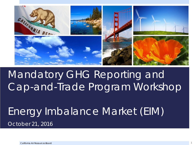

### Mandatory GHG Reporting and Cap-and-Trade Program Workshop

#### *Energy Imbalance Market (EIM) October 21, 2016*

California Air Resources Board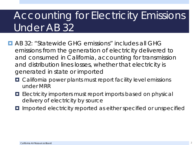## Accounting for Electricity Emissions Under AB 32

- **E** AB 32: "Statewide GHG emissions" includes all GHG emissions from the generation of electricity delivered to and consumed in California, accounting for transmission and distribution lines losses, whether that electricity is generated in state or imported
	- California power plants must report facility level emissions under MRR
	- **E** Electricity importers must report imports based on physical delivery of electricity by source
	- Imported electricity reported as either specified or unspecified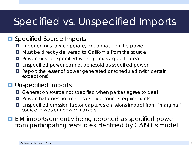#### Specified vs. Unspecified Imports

#### **<u>E</u>** Specified Source Imports

- **I** Importer must own, operate, or contract for the power
- $\blacksquare$  Must be directly delivered to California from the source
- **Power must be specified when parties agree to deal**
- **u** Unspecified power cannot be resold as specified power
- **E** Report the lesser of power generated or scheduled (with certain exceptions)

#### **<u><b>u**</u> Unspecified Imports

- **O** Generation source not specified when parties agree to deal
- **P** Power that does not meet specified source requirements
- Unspecified emission factor captures emissions impact from "marginal" source in western power markets

**EIM imports currently being reported as specified power** from participating resources identified by CAISO's model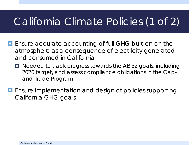#### California Climate Policies (1 of 2)

- **E** Ensure accurate accounting of full GHG burden on the atmosphere as a consequence of electricity generated and consumed in California
	- Needed to track progress towards the AB 32 goals, including 2020 target, and assess compliance obligations in the Capand-Trade Program
- **E** Ensure implementation and design of policies supporting California GHG goals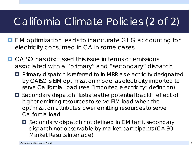#### California Climate Policies (2 of 2)

- **EIM** optimization leads to inaccurate GHG accounting for electricity consumed in CA in some cases
- **D** CAISO has discussed this issue in terms of emissions associated with a "primary" and "secondary" dispatch
	- **Primary dispatch is referred to in MRR as electricity designated** by CAISO's EIM optimization model as electricity imported to serve California load (see "imported electricity" definition)
	- Secondary dispatch illustrates the potential backfill effect of higher emitting resources to serve EIM load when the optimization attributes lower emitting resources to serve California load
		- **O** Secondary dispatch not defined in EIM tariff, secondary dispatch not observable by market participants (CAISO Market Results Interface)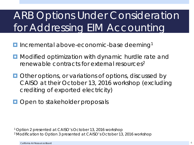## ARB Options Under Consideration for Addressing EIM Accounting

- **Incremental above-economic-base deeming<sup>1</sup>**
- **D** Modified optimization with dynamic hurdle rate and renewable contracts for external resources<sup>2</sup>
- **Other options, or variations of options, discussed by** CAISO at their October 13, 2016 workshop (excluding crediting of exported electricity)
- **Open to stakeholder proposals**

1 Option 2 presented at CAISO's October 13, 2016 workshop 2 Modification to Option 3 presented at CAISO's October 13, 2016 workshop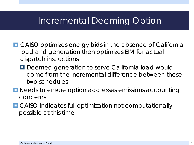#### Incremental Deeming Option

- CAISO optimizes energy bids in the absence of California load and generation then optimizes EIM for actual dispatch instructions
	- **Deemed generation to serve California load would** come from the incremental difference between these two schedules
- **D** Needs to ensure option addresses emissions accounting concerns
- **O** CAISO indicates full optimization not computationally possible at this time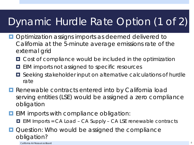## Dynamic Hurdle Rate Option (1 of 2)

- **Optimization assigns imports as deemed delivered to** California at the 5-minute average emissions rate of the external grid
	- **O** Cost of compliance would be included in the optimization
	- **EIM imports not assigned to specific resources**
	- Seeking stakeholder input on alternative calculations of hurdle rate
- **Renewable contracts entered into by California load** serving entities (LSE) would be assigned a zero compliance obligation
- **E** EIM imports with compliance obligation:
	- **EIM Imports = CA Load CA Supply CA LSE renewable contracts**
- Question: Who would be assigned the compliance obligation?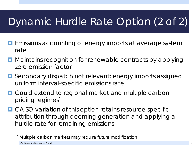## Dynamic Hurdle Rate Option (2 of 2)

- **Example 20 Emissions accounting of energy imports at average system** rate
- **D** Maintains recognition for renewable contracts by applying zero emission factor
- **O** Secondary dispatch not relevant: energy imports assigned uniform interval-specific emissions rate
- **D** Could extend to regional market and multiple carbon pricing regimes<sup>1</sup>
- **OCAISO** variation of this option retains resource specific attribution through deeming generation and applying a hurdle rate for remaining emissions

<sup>1</sup> Multiple carbon markets may require future modification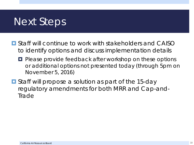#### Next Steps

- **E** Staff will continue to work with stakeholders and CAISO to identify options and discuss implementation details
	- **P** Please provide feedback after workshop on these options or additional options not presented today (through 5pm on November 5, 2016)
- **O** Staff will propose a solution as part of the 15-day regulatory amendments for both MRR and Cap-and-Trade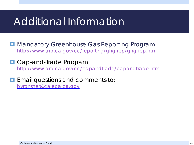#### Additional Information

**D** Mandatory Greenhouse Gas Reporting Program: <http://www.arb.ca.gov/cc/reporting/ghg-rep/ghg-rep.htm>

**D** Cap-and-Trade Program: <http://www.arb.ca.gov/cc/capandtrade/capandtrade.htm>

**Example 20 Email questions and comments to:** [byronsher@calepa.ca.gov](mailto:byronsher@calepa.ca.gov)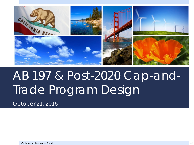

# AB 197 & Post-2020 Cap-and-Trade Program Design

*October 21, 2016*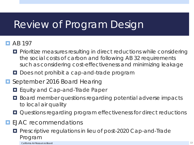#### Review of Program Design

#### $\Box$  AB 197

- **Prioritize measures resulting in direct reductions while considering** the social costs of carbon and following AB 32 requirements such as considering cost-effectiveness and minimizing leakage
- **D** Does not prohibit a cap-and-trade program

#### **E** September 2016 Board Hearing

- **E** Equity and Cap-and-Trade Paper
- Board member questions regarding potential adverse impacts to local air quality
- **Questions regarding program effectiveness for direct reductions**
- **EJAC** recommendations
	- **Pescriptive regulations in lieu of post-2020 Cap-and-Trade** Program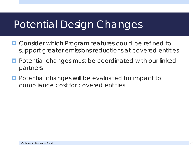#### Potential Design Changes

- **O** Consider which Program features could be refined to support greater emissions reductions at covered entities
- **Potential changes must be coordinated with our linked** partners
- **Potential changes will be evaluated for impact to** compliance cost for covered entities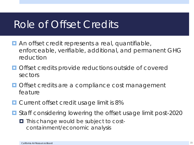#### Role of Offset Credits

- **An offset credit represents a real, quantifiable,** enforceable, verifiable, additional, and permanent GHG reduction
- **O** Offset credits provide reductions outside of covered sectors
- **Offset credits are a compliance cost management** feature
- **D** Current offset credit usage limit is 8%
- Staff considering lowering the offset usage limit post-2020
	- $\blacksquare$  This change would be subject to costcontainment/economic analysis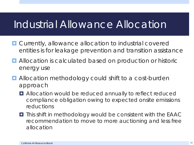#### Industrial Allowance Allocation

- $\blacksquare$  Currently, allowance allocation to industrial covered entities is for leakage prevention and transition assistance
- **E** Allocation is calculated based on production or historic energy use
- **Allocation methodology could shift to a cost-burden** approach
	- $\blacksquare$  Allocation would be reduced annually to reflect reduced compliance obligation owing to expected onsite emissions reductions
	- This shift in methodology would be consistent with the EAAC recommendation to move to more auctioning and less free allocation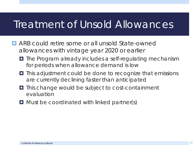#### Treatment of Unsold Allowances

- **E** ARB could retire some or all unsold State-owned allowances with vintage year 2020 or earlier
	- $\blacksquare$  The Program already includes a self-regulating mechanism for periods when allowance demand is low
	- $\blacksquare$  This adjustment could be done to recognize that emissions are currently declining faster than anticipated
	- $\blacksquare$  This change would be subject to cost-containment evaluation
	- $\Box$  Must be coordinated with linked partner(s)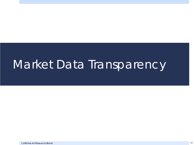## Market Data Transparency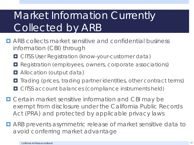## Market Information Currently Collected by ARB

- **E** ARB collects market sensitive and confidential business information (CBI) through
	- **O CITSS User Registration (know-your-customer data)**
	- **Registration (employees, owners, corporate associations)**
	- $\Box$  Allocation (output data)
	- $\blacksquare$  Trading (prices, trading partner identities, other contract terms)
	- **OCITSS account balances (compliance instruments held)**
- $\Box$  Certain market sensitive information and CBI may be exempt from disclosure under the California Public Records Act (PRA) and protected by applicable privacy laws
- ARB prevents asymmetric release of market sensitive data to avoid conferring market advantage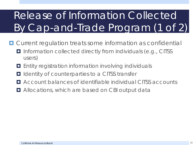## Release of Information Collected By Cap-and-Trade Program (1 of 2)

- **O** Current regulation treats some information as confidential
	- Information collected directly from individuals (e.g., CITSS users)
	- Entity registration information involving individuals
	- Identity of counterparties to a CITSS transfer
	- Account balances of identifiable individual CITSS accounts
	- Allocations, which are based on CBI output data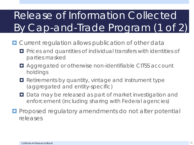## Release of Information Collected By Cap-and-Trade Program (1 of 2)

- **D** Current regulation allows publication of other data
	- **Prices and quantities of individual transfers with identities of** parties masked
	- Aggregated or otherwise non-identifiable CITSS account holdings
	- **Retirements by quantity, vintage and instrument type** (aggregated and entity-specific)
	- Data may be released as part of market investigation and enforcement (including sharing with Federal agencies)
- **Proposed regulatory amendments do not alter potential** releases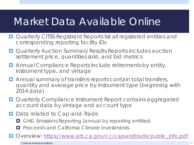#### Market Data Available Online

- **Quarterly CITSS Registrant Reports list all registered entities and** corresponding reporting facility IDs
- **Quarterly Auction Summary Results Reports includes auction** settlement price, quantities sold, and bid metrics
- **E** Annual Compliance Reports include retirements by entity, instrument type, and vintage
- **E** Annual summary of transfers reports contain total transfers, quantity and average price by instrument type (beginning with 2014 data)
- **Quarterly Compliance Instrument Report contains aggregated** account data by vintage and account type
- Data related to Cap-and-Trade
	- **D** GHG Emissions Reporting (annual by reporting entities)
	- **PROCEED** Froceeds and California Climate Investments
- Overview: [https://www.arb.ca.gov/cc/capandtrade/public\\_info.pdf](https://www.arb.ca.gov/cc/capandtrade/public_info.pdf)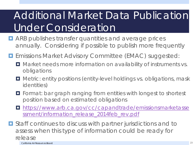## Additional Market Data Publication Under Consideration

- **E** ARB publishes transfer quantities and average prices annually. Considering if possible to publish more frequently
- **Example 20 Emissions Market Advisory Committee (EMAC) suggested:** 
	- $\blacksquare$  Market needs more information on availability of instruments vs. obligations
	- $\blacksquare$  Metric: entity positions (entity-level holdings vs. obligations, mask identities)
	- $\blacksquare$  Format: bar graph ranging from entities with longest to shortest position based on estimated obligations
	- **[https://www.arb.ca.gov/cc/capandtrade/emissionsmarketasse](https://www.arb.ca.gov/cc/capandtrade/emissionsmarketassessment/information_release_2014feb_rev.pdf)** [ssment/information\\_release\\_2014feb\\_rev.pdf](https://www.arb.ca.gov/cc/capandtrade/emissionsmarketassessment/information_release_2014feb_rev.pdf)

■ Staff continues to discuss with partner jurisdictions and to assess when this type of information could be ready for release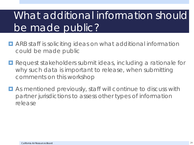## What additional information should be made public?

- **D** ARB staff is soliciting ideas on what additional information could be made public
- **Request stakeholders submit ideas, including a rationale for** why such data is important to release, when submitting comments on this workshop
- As mentioned previously, staff will continue to discuss with partner jurisdictions to assess other types of information release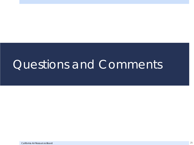## Questions and Comments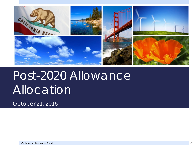

# Post-2020 Allowance Allocation

*October 21, 2016*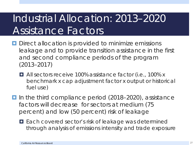### Industrial Allocation: 2013–2020 Assistance Factors

- **D** Direct allocation is provided to minimize emissions leakage and to provide transition assistance in the first and second compliance periods of the program (2013–2017)
	- All sectors receive 100% assistance factor (i.e., 100% x benchmark x cap adjustment factor x output or historical fuel use)
- In the third compliance period (2018–2020), assistance factors will decrease for sectors at medium (75 percent) and low (50 percent) risk of leakage
	- Each covered sector's risk of leakage was determined through analysis of emissions intensity and trade exposure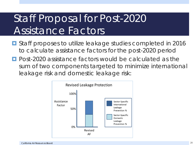### Staff Proposal for Post-2020 Assistance Factors

- Staff proposes to utilize leakage studies completed in 2016 to calculate assistance factors for the post-2020 period
- **Post-2020** assistance factors would be calculated as the sum of two components targeted to minimize international leakage risk and domestic leakage risk:

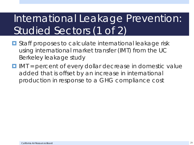## International Leakage Prevention: Studied Sectors (1 of 2)

- **E** Staff proposes to calculate international leakage risk using international market transfer (IMT) from the UC Berkeley leakage study
- $\blacksquare$  IMT = percent of every dollar decrease in domestic value added that is offset by an increase in international production in response to a GHG compliance cost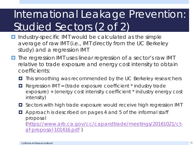## International Leakage Prevention: Studied Sectors (2 of 2)

- **Industry-specific IMT would be calculated as the simple** average of raw IMT (i.e., IMT directly from the UC Berkeley study) and a regression IMT
- **The regression IMT uses linear regression of a sector's raw IMT** relative to trade exposure and energy cost intensity to obtain coefficients:
	- This smoothing was recommended by the UC Berkeley researchers
	- $\blacksquare$  Regression IMT = (trade exposure coefficient  $*$  industry trade exposure) + (energy cost intensity coefficient \* industry energy cost intensity)
	- $\blacksquare$  Sectors with high trade exposure would receive high regression IMT
	- **E** Approach is described on pages 4 and 5 of the informal staff proposal [\(https://www.arb.ca.gov/cc/capandtrade/meetings/20161021/ct](https://www.arb.ca.gov/cc/capandtrade/meetings/20161021/ct-af-proposal-101416.pdf)[af-proposal-101416.pdf](https://www.arb.ca.gov/cc/capandtrade/meetings/20161021/ct-af-proposal-101416.pdf) )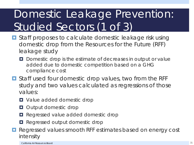## Domestic Leakage Prevention: Studied Sectors (1 of 3)

- Staff proposes to calculate domestic leakage risk using domestic drop from the Resources for the Future (RFF) leakage study
	- D Domestic drop is the estimate of decreases in output or value added due to domestic competition based on a GHG compliance cost
- Staff used four domestic drop values, two from the RFF study and two values calculated as regressions of those values:
	- **D** Value added domestic drop
	- **Output domestic drop**
	- **Regressed value added domestic drop**
	- **Regressed output domestic drop**
- **Regressed values smooth RFF estimates based on energy cost** intensity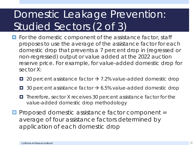## Domestic Leakage Prevention: Studied Sectors (2 of 3)

- **For the domestic component of the assistance factor, staff** proposes to use the average of the assistance factor for each domestic drop that prevents a 7 percent drop in (regressed or non-regressed) output or value added at the 2022 auction reserve price. For example, for value-added domestic drop for sector X:
	- $\Box$  20 percent assistance factor  $\rightarrow$  7.2% value-added domestic drop
	- $\Box$  30 percent assistance factor  $\rightarrow$  6.5% value-added domestic drop
	- Therefore, sector X receives 30 percent assistance factor for the value-added domestic drop methodology
- **Proposed domestic assistance factor component =** average of four assistance factors determined by application of each domestic drop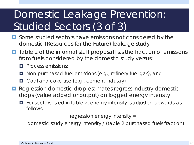## Domestic Leakage Prevention: Studied Sectors (3 of 3)

- **O** Some studied sectors have emissions not considered by the domestic (Resources for the Future) leakage study
- $\blacksquare$  Table 2 of the informal staff proposal lists the fraction of emissions from fuels considered by the domestic study versus:
	- **Process emissions:**
	- Non-purchased fuel emissions (e.g., refinery fuel gas); and
	- **O** Coal and coke use (e.g., cement industry)
- **Regression domestic drop estimates regress industry domestic** drops (value added or output) on logged energy intensity
	- $\Box$  For sectors listed in table 2, energy intensity is adjusted upwards as follows:

regression energy intensity =

domestic study energy intensity / (table 2 purchased fuels fraction)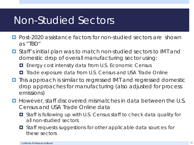#### Non-Studied Sectors

- **Paramers** Post-2020 assistance factors for non-studied sectors are shown as "TBD"
- Staff's initial plan was to match non-studied sectors to IMT and domestic drop of overall manufacturing sector using:
	- **E** Energy cost intensity data from U.S. Economic Census
	- **T** Trade exposure data from U.S. Census and USA Trade Online
- **T** This approach is similar to regressed IMT and regressed domestic drop approaches for manufacturing (also adjusted for process emissions)
- **H** However, staff discovered mismatches in data between the U.S. Census and USA Trade Online data
	- Staff is following up with U.S. Census staff to check data quality for all non-studied sectors
	- Staff requests suggestions for other applicable data sources for these sectors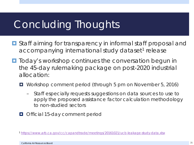#### Concluding Thoughts

- Staff aiming for transparency in informal staff proposal and accompanying international study dataset<sup>1</sup> release
- **T** Today's workshop continues the conversation begun in the 45-day rulemaking package on post-2020 industrial allocation:
	- Workshop comment period (through 5 pm on November 5, 2016)
		- Staff especially requests suggestions on data sources to use to apply the proposed assistance factor calculation methodology to non-studied sectors
	- **Official 15-day comment period**

<sup>1</sup> <https://www.arb.ca.gov/cc/capandtrade/meetings/20161021/ucb-leakage-study-data.xlsx>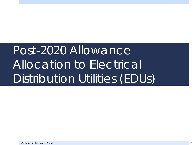# Post-2020 Allowance Allocation to Electrical Distribution Utilities (EDUs)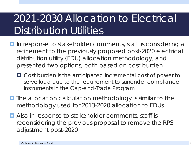### 2021-2030 Allocation to Electrical Distribution Utilities

- **If** In response to stakeholder comments, staff is considering a refinement to the previously proposed post-2020 electrical distribution utility (EDU) allocation methodology, and presented two options, both based on cost burden
	- Cost burden is the anticipated incremental cost of power to serve load due to the requirement to surrender compliance instruments in the Cap-and-Trade Program
- $\Box$  The allocation calculation methodology is similar to the methodology used for 2013-2020 allocation to EDUs
- **E** Also in response to stakeholder comments, staff is reconsidering the previous proposal to remove the RPS adjustment post-2020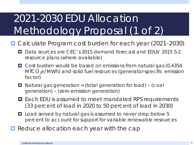## 2021-2030 EDU Allocation Methodology Proposal (1 of 2)

- Calculate Program cost burden for each year (2021–2030)
	- D Data sources are CEC's 2015 demand forecast and EDUs' 2015 S-2 resource plans (where available)
	- Cost burden would be based on emissions from natural gas (0.4354  $MICO<sub>2</sub>e/MWh$ ) and solid fuel resources (generator-specific emission factor)
	- $\blacksquare$  Natural gas generation = (total generation for load) (coal generation) – (zero-emission generation)
	- **□** Each EDU is assumed to meet mandated RPS requirements (33 percent of load in 2020 to 50 percent of load in 2030)
	- Load served by natural gas is assumed to never drop below 5 percent to account for support for variable renewable resources
- **Reduce allocation each year with the cap**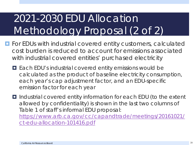## 2021-2030 EDU Allocation Methodology Proposal (2 of 2)

- **For EDUs with industrial covered entity customers, calculated** cost burden is reduced to account for emissions associated with industrial covered entities' purchased electricity
	- Each EDU's industrial covered entity emissions would be calculated as the product of baseline electricity consumption, each year's cap adjustment factor, and an EDU-specific emission factor for each year

■ Industrial covered entity information for each EDU (to the extent allowed by confidentiality) is shown in the last two columns of Table 1 of staff's informal EDU proposal: [https://www.arb.ca.gov/cc/capandtrade/meetings/20161021/](https://www.arb.ca.gov/cc/capandtrade/meetings/20161021/ct-edu-allocation-101416.pdf)

[ct-edu-allocation-101416.pdf](https://www.arb.ca.gov/cc/capandtrade/meetings/20161021/ct-edu-allocation-101416.pdf)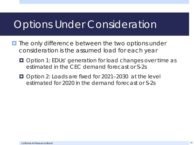#### Options Under Consideration

- **The only difference between the two options under** consideration is the assumed load for each year
	- **O** Option 1: EDUs' generation for load changes over time as estimated in the CEC demand forecast or S-2s
	- Option 2: Loads are fixed for 2021–2030 at the level estimated for 2020 in the demand forecast or S-2s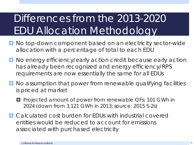## Differences from the 2013-2020 EDU Allocation Methodology

- No top-down component based on an electricity sector-wide allocation with a percentage of total to each EDU
- No energy efficiency/early action credit because early action has already been recognized and energy efficiency/RPS requirements are now essentially the same for all EDUs
- **D** No assumption that power from renewable qualifying facilities is priced at market
	- **Projected amount of power from renewable QFs: 101 GWh in** 2024 (down from 3,121 GWh in 2013; source: 2015 S-2s)
- **E.** Calculated cost burden for EDUs with industrial covered entities would be reduced to account for emissions associated with purchased electricity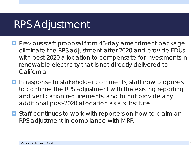#### RPS Adjustment

- **P** Previous staff proposal from 45-day amendment package: eliminate the RPS adjustment after 2020 and provide EDUs with post-2020 allocation to compensate for investments in renewable electricity that is not directly delivered to **California**
- In response to stakeholder comments, staff now proposes to continue the RPS adjustment with the existing reporting and verification requirements, and to not provide any additional post-2020 allocation as a substitute
- **O** Staff continues to work with reporters on how to claim an RPS adjustment in compliance with MRR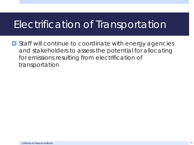#### Electrification of Transportation

**□** Staff will continue to coordinate with energy agencies and stakeholders to assess the potential for allocating for emissions resulting from electrification of transportation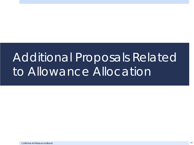# Additional Proposals Related to Allowance Allocation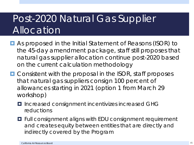#### Post-2020 Natural Gas Supplier Allocation

- As proposed in the Initial Statement of Reasons (ISOR) to the 45-day amendment package, staff still proposes that natural gas supplier allocation continue post-2020 based on the current calculation methodology
- **O** Consistent with the proposal in the ISOR, staff proposes that natural gas suppliers consign 100 percent of allowances starting in 2021 (option 1 from March 29 workshop)
	- Increased consignment incentivizes increased GHG reductions
	- $\blacksquare$  Full consignment aligns with EDU consignment requirement and creates equity between entities that are directly and indirectly covered by the Program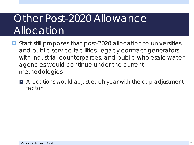### Other Post-2020 Allowance Allocation

- **O** Staff still proposes that post-2020 allocation to universities and public service facilities, legacy contract generators with industrial counterparties, and public wholesale water agencies would continue under the current methodologies
	- $\blacksquare$  Allocations would adjust each year with the cap adjustment factor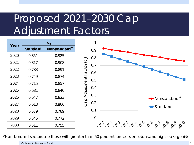## Proposed 2021–2030 Cap Adjustment Factors

| Year | $C_{t}$         |                          |
|------|-----------------|--------------------------|
|      | <b>Standard</b> | Nonstandard <sup>#</sup> |
| 2020 | 0.851           | 0.925                    |
| 2021 | 0.817           | 0.908                    |
| 2022 | 0.783           | 0.891                    |
| 2023 | 0.749           | 0.874                    |
| 2024 | 0.715           | 0.857                    |
| 2025 | 0.681           | 0.840                    |
| 2026 | 0.647           | 0.823                    |
| 2027 | 0.613           | 0.806                    |
| 2028 | 0.579           | 0.789                    |
| 2029 | 0.545           | 0.772                    |
| 2030 | 0.511           | 0.755                    |



#Nonstandard sectors are those with greater than 50 percent process emissions and high leakage risk.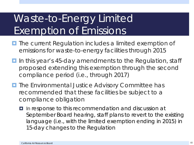### Waste-to-Energy Limited Exemption of Emissions

- **The current Regulation includes a limited exemption of** emissions for waste-to-energy facilities through 2015
- **In this year's 45-day amendments to the Regulation, staff** proposed extending this exemption through the second compliance period (i.e., through 2017)
- **The Environmental Justice Advisory Committee has** recommended that these facilities be subject to a compliance obligation
	- $\blacksquare$  In response to this recommendation and discussion at September Board hearing, staff plans to revert to the existing language (i.e., with the limited exemption ending in 2015) in 15-day changes to the Regulation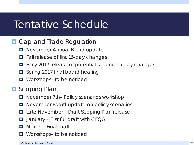#### Tentative Schedule

#### **D** Cap-and-Trade Regulation

- **D** November Annual Board update
- **Fall release of first 15-day changes**
- Early 2017 release of potential second 15-day changes
- **D** Spring 2017 final board hearing
- Workshops– to be noticed

#### **E** Scoping Plan

- November 7th– Policy scenarios workshop
- **D** November Board update on policy scenarios
- Late November Draft Scoping Plan release
- $\Box$  January First full draft with CEQA
- **D** March Final draft
- $\blacksquare$  Workshops- to be noticed